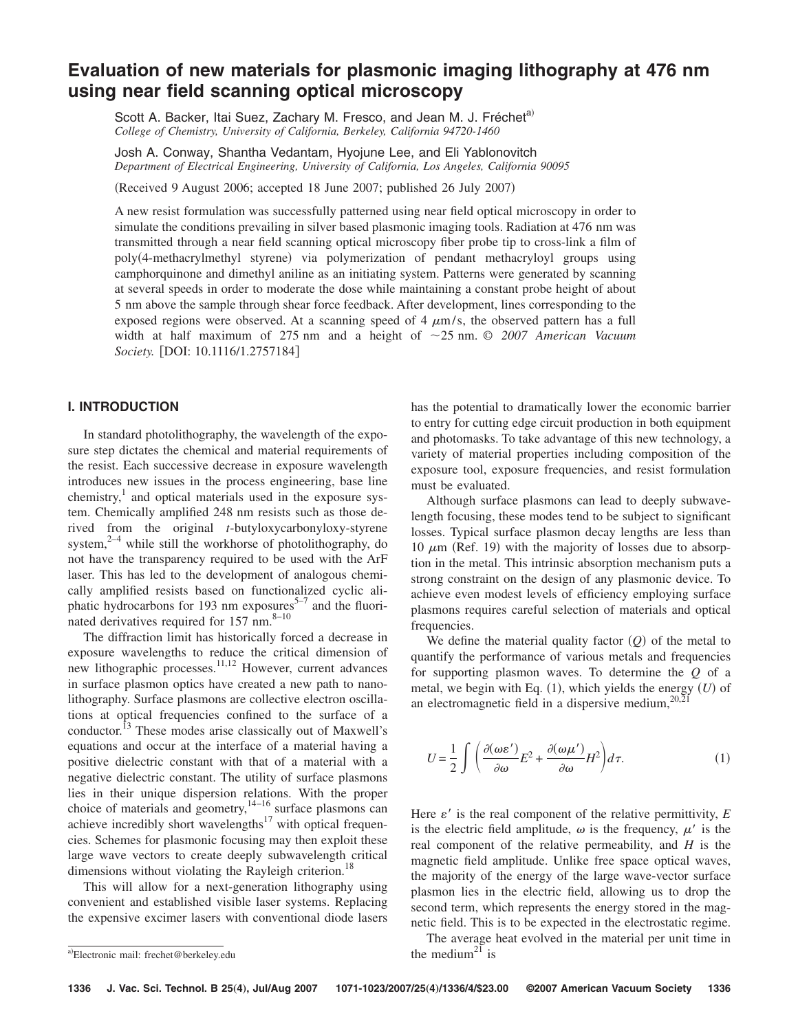# **Evaluation of new materials for plasmonic imaging lithography at 476 nm using near field scanning optical microscopy**

Scott A. Backer, Itai Suez, Zachary M. Fresco, and Jean M. J. Fréchet<sup>a)</sup> *College of Chemistry, University of California, Berkeley, California 94720-1460*

Josh A. Conway, Shantha Vedantam, Hyojune Lee, and Eli Yablonovitch *Department of Electrical Engineering, University of California, Los Angeles, California 90095*

Received 9 August 2006; accepted 18 June 2007; published 26 July 2007-

A new resist formulation was successfully patterned using near field optical microscopy in order to simulate the conditions prevailing in silver based plasmonic imaging tools. Radiation at 476 nm was transmitted through a near field scanning optical microscopy fiber probe tip to cross-link a film of poly(4-methacrylmethyl styrene) via polymerization of pendant methacryloyl groups using camphorquinone and dimethyl aniline as an initiating system. Patterns were generated by scanning at several speeds in order to moderate the dose while maintaining a constant probe height of about 5 nm above the sample through shear force feedback. After development, lines corresponding to the exposed regions were observed. At a scanning speed of  $4 \mu m/s$ , the observed pattern has a full width at half maximum of 275 nm and a height of 25 nm. *© 2007 American Vacuum Society.* [DOI: 10.1116/1.2757184]

# **I. INTRODUCTION**

In standard photolithography, the wavelength of the exposure step dictates the chemical and material requirements of the resist. Each successive decrease in exposure wavelength introduces new issues in the process engineering, base line chemistry, $\frac{1}{x}$  and optical materials used in the exposure system. Chemically amplified 248 nm resists such as those derived from the original *t*-butyloxycarbonyloxy-styrene system, $2-4$  while still the workhorse of photolithography, do not have the transparency required to be used with the ArF laser. This has led to the development of analogous chemically amplified resists based on functionalized cyclic aliphatic hydrocarbons for 193 nm exposures<sup>5-7</sup> and the fluorinated derivatives required for  $157 \text{ nm}$ .<sup>8–10</sup>

The diffraction limit has historically forced a decrease in exposure wavelengths to reduce the critical dimension of new lithographic processes.<sup>11,12</sup> However, current advances in surface plasmon optics have created a new path to nanolithography. Surface plasmons are collective electron oscillations at optical frequencies confined to the surface of a conductor.<sup>13</sup> These modes arise classically out of Maxwell's equations and occur at the interface of a material having a positive dielectric constant with that of a material with a negative dielectric constant. The utility of surface plasmons lies in their unique dispersion relations. With the proper choice of materials and geometry, $14-16$  surface plasmons can achieve incredibly short wavelengths $17$  with optical frequencies. Schemes for plasmonic focusing may then exploit these large wave vectors to create deeply subwavelength critical dimensions without violating the Rayleigh criterion.<sup>18</sup>

This will allow for a next-generation lithography using convenient and established visible laser systems. Replacing the expensive excimer lasers with conventional diode lasers

has the potential to dramatically lower the economic barrier to entry for cutting edge circuit production in both equipment and photomasks. To take advantage of this new technology, a variety of material properties including composition of the exposure tool, exposure frequencies, and resist formulation must be evaluated.

Although surface plasmons can lead to deeply subwavelength focusing, these modes tend to be subject to significant losses. Typical surface plasmon decay lengths are less than 10  $\mu$ m (Ref. 19) with the majority of losses due to absorption in the metal. This intrinsic absorption mechanism puts a strong constraint on the design of any plasmonic device. To achieve even modest levels of efficiency employing surface plasmons requires careful selection of materials and optical frequencies.

We define the material quality factor  $(Q)$  of the metal to quantify the performance of various metals and frequencies for supporting plasmon waves. To determine the *Q* of a metal, we begin with Eq.  $(1)$ , which yields the energy  $(U)$  of an electromagnetic field in a dispersive medium,  $20,21$ 

$$
U = \frac{1}{2} \int \left( \frac{\partial(\omega \varepsilon')}{\partial \omega} E^2 + \frac{\partial(\omega \mu')}{\partial \omega} H^2 \right) d\tau.
$$
 (1)

Here  $\varepsilon'$  is the real component of the relative permittivity,  $E$ is the electric field amplitude,  $\omega$  is the frequency,  $\mu'$  is the real component of the relative permeability, and *H* is the magnetic field amplitude. Unlike free space optical waves, the majority of the energy of the large wave-vector surface plasmon lies in the electric field, allowing us to drop the second term, which represents the energy stored in the magnetic field. This is to be expected in the electrostatic regime.

The average heat evolved in the material per unit time in

 $\overline{a}$ Electronic mail: frechet@berkeley.edu the medium<sup>21</sup> is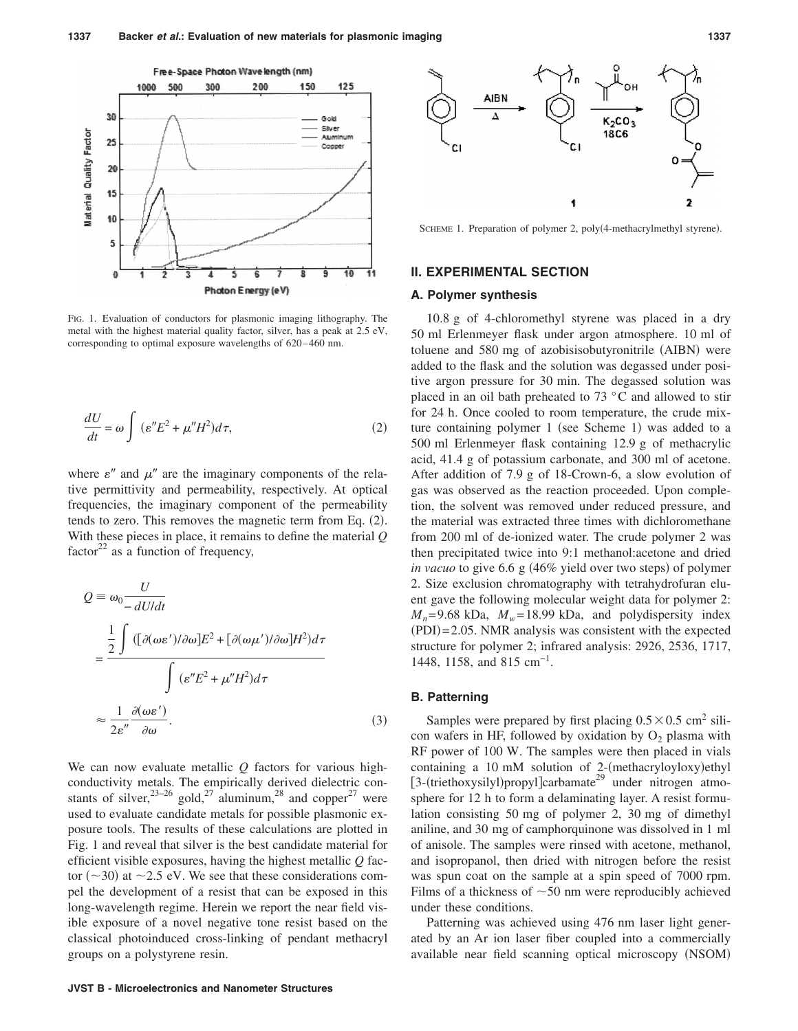

FIG. 1. Evaluation of conductors for plasmonic imaging lithography. The metal with the highest material quality factor, silver, has a peak at 2.5 eV, corresponding to optimal exposure wavelengths of 620–460 nm.

$$
\frac{dU}{dt} = \omega \int (\varepsilon'' E^2 + \mu'' H^2) d\tau,
$$
\n(2)

where  $\varepsilon''$  and  $\mu''$  are the imaginary components of the relative permittivity and permeability, respectively. At optical frequencies, the imaginary component of the permeability tends to zero. This removes the magnetic term from Eq. (2). With these pieces in place, it remains to define the material *Q* factor $^{22}$  as a function of frequency,

$$
Q = \omega_0 \frac{U}{-dU/dt}
$$
  
= 
$$
\frac{\frac{1}{2} \int \left( [\partial(\omega \varepsilon')/\partial \omega] E^2 + [\partial(\omega \mu')/\partial \omega] H^2 \right) d\tau}{\int (\varepsilon'' E^2 + \mu'' H^2) d\tau}
$$
  

$$
\approx \frac{1}{2\varepsilon''} \frac{\partial(\omega \varepsilon')}{\partial \omega}.
$$
 (3)

We can now evaluate metallic *Q* factors for various highconductivity metals. The empirically derived dielectric constants of silver,  $^{23-26}$  gold,  $^{27}$  aluminum,  $^{28}$  and copper $^{27}$  were used to evaluate candidate metals for possible plasmonic exposure tools. The results of these calculations are plotted in Fig. 1 and reveal that silver is the best candidate material for efficient visible exposures, having the highest metallic *Q* factor ( $\sim$ 30) at  $\sim$ 2.5 eV. We see that these considerations compel the development of a resist that can be exposed in this long-wavelength regime. Herein we report the near field visible exposure of a novel negative tone resist based on the classical photoinduced cross-linking of pendant methacryl groups on a polystyrene resin.



SCHEME 1. Preparation of polymer 2, poly(4-methacrylmethyl styrene).

### **II. EXPERIMENTAL SECTION**

#### **A. Polymer synthesis**

10.8 g of 4-chloromethyl styrene was placed in a dry 50 ml Erlenmeyer flask under argon atmosphere. 10 ml of toluene and 580 mg of azobisisobutyronitrile (AIBN) were added to the flask and the solution was degassed under positive argon pressure for 30 min. The degassed solution was placed in an oil bath preheated to 73 °C and allowed to stir for 24 h. Once cooled to room temperature, the crude mixture containing polymer 1 (see Scheme 1) was added to a 500 ml Erlenmeyer flask containing 12.9 g of methacrylic acid, 41.4 g of potassium carbonate, and 300 ml of acetone. After addition of 7.9 g of 18-Crown-6, a slow evolution of gas was observed as the reaction proceeded. Upon completion, the solvent was removed under reduced pressure, and the material was extracted three times with dichloromethane from 200 ml of de-ionized water. The crude polymer 2 was then precipitated twice into 9:1 methanol:acetone and dried in vacuo to give 6.6 g (46% yield over two steps) of polymer 2. Size exclusion chromatography with tetrahydrofuran eluent gave the following molecular weight data for polymer 2:  $M_n$ = 9.68 kDa,  $M_w$ = 18.99 kDa, and polydispersity index (PDI)=2.05. NMR analysis was consistent with the expected structure for polymer 2; infrared analysis: 2926, 2536, 1717, 1448, 1158, and 815 cm<sup>-1</sup>.

#### **B. Patterning**

Samples were prepared by first placing  $0.5 \times 0.5$  cm<sup>2</sup> silicon wafers in HF, followed by oxidation by  $O<sub>2</sub>$  plasma with RF power of 100 W. The samples were then placed in vials containing a 10 mM solution of 2-(methacryloyloxy)ethyl [3-(triethoxysilyl)propyl]carbamate<sup>29</sup> under nitrogen atmosphere for 12 h to form a delaminating layer. A resist formulation consisting 50 mg of polymer 2, 30 mg of dimethyl aniline, and 30 mg of camphorquinone was dissolved in 1 ml of anisole. The samples were rinsed with acetone, methanol, and isopropanol, then dried with nitrogen before the resist was spun coat on the sample at a spin speed of 7000 rpm. Films of a thickness of  $\sim$  50 nm were reproducibly achieved under these conditions.

Patterning was achieved using 476 nm laser light generated by an Ar ion laser fiber coupled into a commercially available near field scanning optical microscopy (NSOM)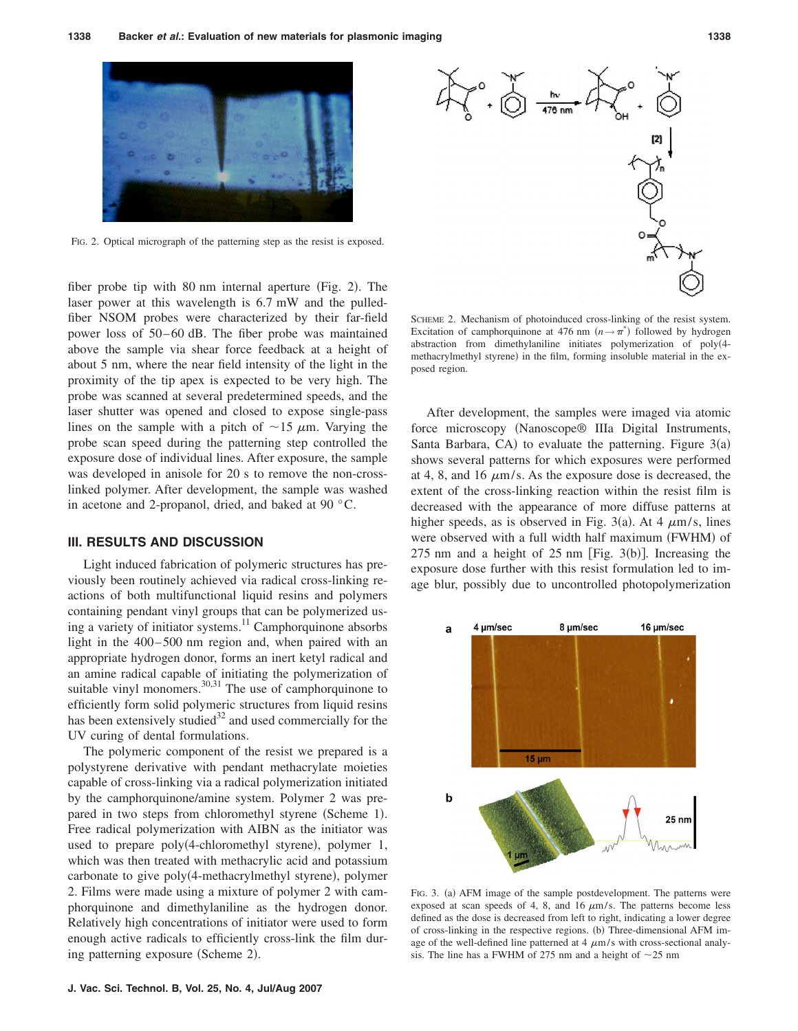

FIG. 2. Optical micrograph of the patterning step as the resist is exposed.

fiber probe tip with 80 nm internal aperture (Fig. 2). The laser power at this wavelength is 6.7 mW and the pulledfiber NSOM probes were characterized by their far-field power loss of 50– 60 dB. The fiber probe was maintained above the sample via shear force feedback at a height of about 5 nm, where the near field intensity of the light in the proximity of the tip apex is expected to be very high. The probe was scanned at several predetermined speeds, and the laser shutter was opened and closed to expose single-pass lines on the sample with a pitch of  $\sim$ 15  $\mu$ m. Varying the probe scan speed during the patterning step controlled the exposure dose of individual lines. After exposure, the sample was developed in anisole for 20 s to remove the non-crosslinked polymer. After development, the sample was washed in acetone and 2-propanol, dried, and baked at 90 °C.

#### **III. RESULTS AND DISCUSSION**

Light induced fabrication of polymeric structures has previously been routinely achieved via radical cross-linking reactions of both multifunctional liquid resins and polymers containing pendant vinyl groups that can be polymerized using a variety of initiator systems.<sup>11</sup> Camphorquinone absorbs light in the 400–500 nm region and, when paired with an appropriate hydrogen donor, forms an inert ketyl radical and an amine radical capable of initiating the polymerization of suitable vinyl monomers. $30,31$  The use of camphorquinone to efficiently form solid polymeric structures from liquid resins has been extensively studied<sup>32</sup> and used commercially for the UV curing of dental formulations.

The polymeric component of the resist we prepared is a polystyrene derivative with pendant methacrylate moieties capable of cross-linking via a radical polymerization initiated by the camphorquinone/amine system. Polymer 2 was prepared in two steps from chloromethyl styrene (Scheme 1). Free radical polymerization with AIBN as the initiator was used to prepare poly(4-chloromethyl styrene), polymer 1, which was then treated with methacrylic acid and potassium carbonate to give poly(4-methacrylmethyl styrene), polymer 2. Films were made using a mixture of polymer 2 with camphorquinone and dimethylaniline as the hydrogen donor. Relatively high concentrations of initiator were used to form enough active radicals to efficiently cross-link the film during patterning exposure (Scheme 2).



SCHEME 2. Mechanism of photoinduced cross-linking of the resist system. Excitation of camphorquinone at 476 nm  $(n \rightarrow \pi^*)$  followed by hydrogen abstraction from dimethylaniline initiates polymerization of poly4 methacrylmethyl styrene) in the film, forming insoluble material in the exposed region.

After development, the samples were imaged via atomic force microscopy Nanoscope® IIIa Digital Instruments, Santa Barbara, CA) to evaluate the patterning. Figure  $3(a)$ shows several patterns for which exposures were performed at 4, 8, and 16  $\mu$ m/s. As the exposure dose is decreased, the extent of the cross-linking reaction within the resist film is decreased with the appearance of more diffuse patterns at higher speeds, as is observed in Fig. 3(a). At 4  $\mu$ m/s, lines were observed with a full width half maximum (FWHM) of  $275$  nm and a height of  $25$  nm [Fig.  $3(b)$ ]. Increasing the exposure dose further with this resist formulation led to image blur, possibly due to uncontrolled photopolymerization



FIG. 3. (a) AFM image of the sample postdevelopment. The patterns were exposed at scan speeds of 4, 8, and 16  $\mu$ m/s. The patterns become less defined as the dose is decreased from left to right, indicating a lower degree of cross-linking in the respective regions. (b) Three-dimensional AFM image of the well-defined line patterned at  $4 \mu m/s$  with cross-sectional analysis. The line has a FWHM of 275 nm and a height of  $\sim$ 25 nm